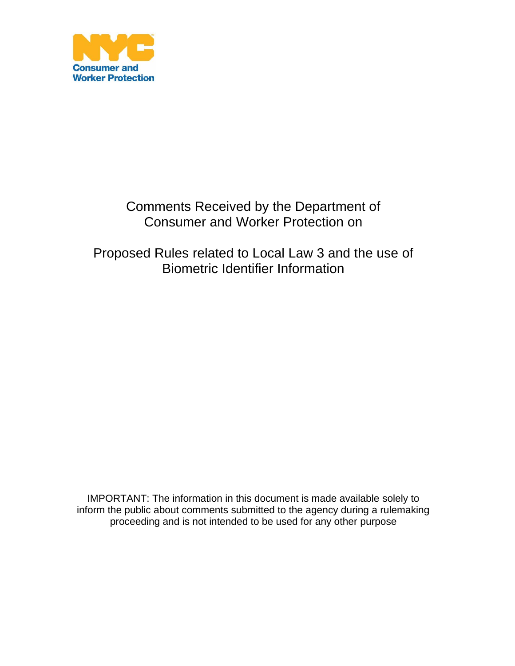

## Comments Received by the Department of Consumer and Worker Protection on

Proposed Rules related to Local Law 3 and the use of Biometric Identifier Information

IMPORTANT: The information in this document is made available solely to inform the public about comments submitted to the agency during a rulemaking proceeding and is not intended to be used for any other purpose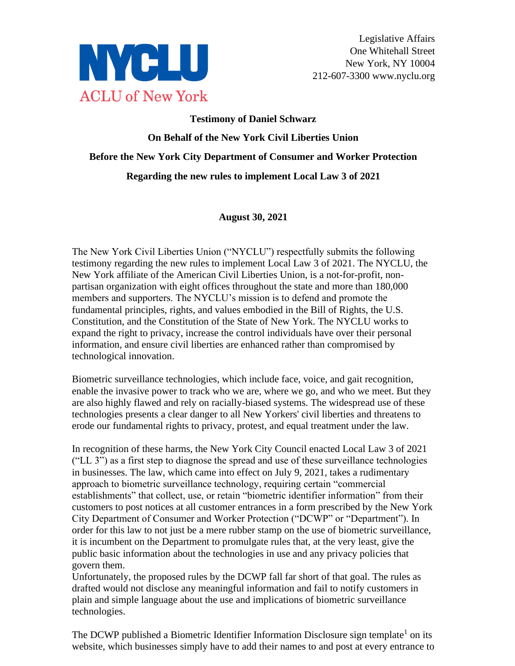

# **Testimony of Daniel Schwarz On Behalf of the New York Civil Liberties Union Before the New York City Department of Consumer and Worker Protection Regarding the new rules to implement Local Law 3 of 2021**

#### **August 30, 2021**

The New York Civil Liberties Union ("NYCLU") respectfully submits the following testimony regarding the new rules to implement Local Law 3 of 2021. The NYCLU, the New York affiliate of the American Civil Liberties Union, is a not-for-profit, nonpartisan organization with eight offices throughout the state and more than 180,000 members and supporters. The NYCLU's mission is to defend and promote the fundamental principles, rights, and values embodied in the Bill of Rights, the U.S. Constitution, and the Constitution of the State of New York. The NYCLU works to expand the right to privacy, increase the control individuals have over their personal information, and ensure civil liberties are enhanced rather than compromised by technological innovation.

Biometric surveillance technologies, which include face, voice, and gait recognition, enable the invasive power to track who we are, where we go, and who we meet. But they are also highly flawed and rely on racially-biased systems. The widespread use of these technologies presents a clear danger to all New Yorkers' civil liberties and threatens to erode our fundamental rights to privacy, protest, and equal treatment under the law.

In recognition of these harms, the New York City Council enacted Local Law 3 of 2021 ("LL 3") as a first step to diagnose the spread and use of these surveillance technologies in businesses. The law, which came into effect on July 9, 2021, takes a rudimentary approach to biometric surveillance technology, requiring certain "commercial establishments" that collect, use, or retain "biometric identifier information" from their customers to post notices at all customer entrances in a form prescribed by the New York City Department of Consumer and Worker Protection ("DCWP" or "Department"). In order for this law to not just be a mere rubber stamp on the use of biometric surveillance, it is incumbent on the Department to promulgate rules that, at the very least, give the public basic information about the technologies in use and any privacy policies that govern them.

Unfortunately, the proposed rules by the DCWP fall far short of that goal. The rules as drafted would not disclose any meaningful information and fail to notify customers in plain and simple language about the use and implications of biometric surveillance technologies.

The DCWP published a Biometric Identifier Information Disclosure sign template<sup>1</sup> on its website, which businesses simply have to add their names to and post at every entrance to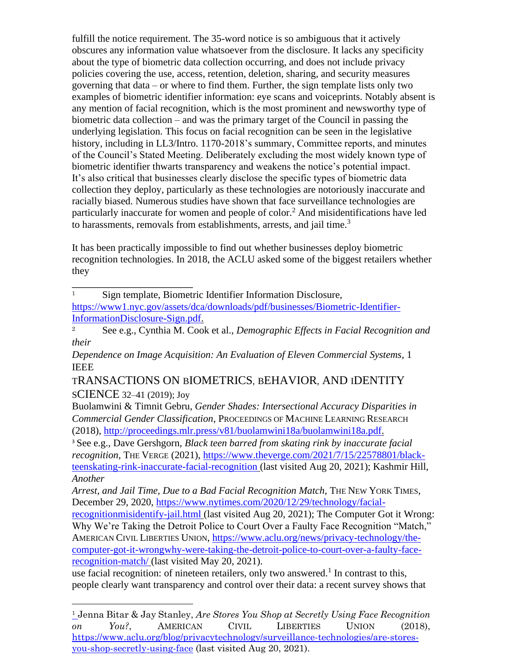fulfill the notice requirement. The 35-word notice is so ambiguous that it actively obscures any information value whatsoever from the disclosure. It lacks any specificity about the type of biometric data collection occurring, and does not include privacy policies covering the use, access, retention, deletion, sharing, and security measures governing that data – or where to find them. Further, the sign template lists only two examples of biometric identifier information: eye scans and voiceprints. Notably absent is any mention of facial recognition, which is the most prominent and newsworthy type of biometric data collection – and was the primary target of the Council in passing the underlying legislation. This focus on facial recognition can be seen in the legislative history, including in LL3/Intro. 1170-2018's summary, Committee reports, and minutes of the Council's Stated Meeting. Deliberately excluding the most widely known type of biometric identifier thwarts transparency and weakens the notice's potential impact. It's also critical that businesses clearly disclose the specific types of biometric data collection they deploy, particularly as these technologies are notoriously inaccurate and racially biased. Numerous studies have shown that face surveillance technologies are particularly inaccurate for women and people of color.<sup>2</sup> And misidentifications have led to harassments, removals from establishments, arrests, and jail time. $3$ 

It has been practically impossible to find out whether businesses deploy biometric recognition technologies. In 2018, the ACLU asked some of the biggest retailers whether they

<sup>1</sup> Sign template, Biometric Identifier Information Disclosure, [https://www1.nyc.gov/assets/dca/downloads/pdf/businesses/Biometric-Identifier-](https://www1.nyc.gov/assets/dca/downloads/pdf/businesses/Biometric-Identifier-Information-Disclosure-Sign.pdf)[InformationDisclosure-Sign.pdf.](https://www1.nyc.gov/assets/dca/downloads/pdf/businesses/Biometric-Identifier-Information-Disclosure-Sign.pdf) 

<sup>2</sup> See e.g., Cynthia M. Cook et al., *Demographic Effects in Facial Recognition and their* 

*Dependence on Image Acquisition: An Evaluation of Eleven Commercial Systems*, 1 IEEE

TRANSACTIONS ON BIOMETRICS, BEHAVIOR, AND IDENTITY SCIENCE 32–41 (2019); Joy

Buolamwini & Timnit Gebru, *Gender Shades: Intersectional Accuracy Disparities in Commercial Gender Classification*, PROCEEDINGS OF MACHINE LEARNING RESEARCH (2018), [http://proceedings.mlr.press/v81/buolamwini18a/buolamwini18a.pdf.](http://proceedings.mlr.press/v81/buolamwini18a/buolamwini18a.pdf)

<sup>3</sup> See e.g., Dave Gershgorn, *Black teen barred from skating rink by inaccurate facial recognition*, THE VERGE (2021), [https://www.theverge.com/2021/7/15/22578801/black](https://www.theverge.com/2021/7/15/22578801/black-teen-skating-rink-inaccurate-facial-recognition)[teenskating-rink-inaccurate-facial-recognition](https://www.theverge.com/2021/7/15/22578801/black-teen-skating-rink-inaccurate-facial-recognition) (last visited Aug 20, 2021); Kashmir Hill, *Another* 

*Arrest, and Jail Time, Due to a Bad Facial Recognition Match*, THE NEW YORK TIMES, December 29, 2020, [https://www.nytimes.com/2020/12/29/technology/facial-](https://www.nytimes.com/2020/12/29/technology/facial-recognition-misidentify-jail.html)

[recognitionmisidentify-jail.html](https://www.nytimes.com/2020/12/29/technology/facial-recognition-misidentify-jail.html) (last visited Aug 20, 2021); The Computer Got it Wrong: Why We're Taking the Detroit Police to Court Over a Faulty Face Recognition "Match," AMERICAN CIVIL LIBERTIES UNION, [https://www.aclu.org/news/privacy-technology/the](https://www.aclu.org/news/privacy-technology/the-computer-got-it-wrong-why-were-taking-the-detroit-police-to-court-over-a-faulty-face-recognition-match/)[computer-got-it-wrongwhy-were-taking-the-detroit-police-to-court-over-a-faulty-face](https://www.aclu.org/news/privacy-technology/the-computer-got-it-wrong-why-were-taking-the-detroit-police-to-court-over-a-faulty-face-recognition-match/)[recognition-match/](https://www.aclu.org/news/privacy-technology/the-computer-got-it-wrong-why-were-taking-the-detroit-police-to-court-over-a-faulty-face-recognition-match/) [\(](https://www.aclu.org/news/privacy-technology/the-computer-got-it-wrong-why-were-taking-the-detroit-police-to-court-over-a-faulty-face-recognition-match/)last visited May 20, 2021).

use facial recognition: of nineteen retailers, only two answered.<sup>1</sup> In contrast to this, people clearly want transparency and control over their data: a recent survey shows that

<sup>1</sup> Jenna Bitar & Jay Stanley, *Are Stores You Shop at Secretly Using Face Recognition on You?*, AMERICAN CIVIL LIBERTIES UNION (2018), [https://www.aclu.org/blog/privacytechnology/surveillance-technologies/are-stores](https://www.aclu.org/blog/privacy-technology/surveillance-technologies/are-stores-you-shop-secretly-using-face)[you-shop-secretly-using-face](https://www.aclu.org/blog/privacy-technology/surveillance-technologies/are-stores-you-shop-secretly-using-face) (last visited Aug 20, 2021).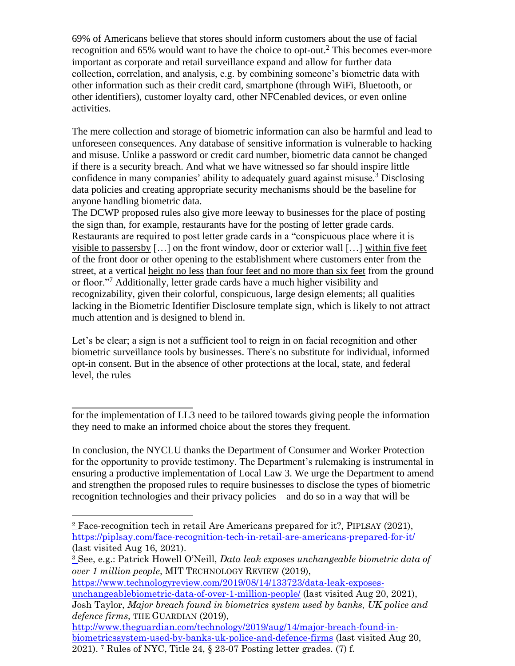69% of Americans believe that stores should inform customers about the use of facial recognition and 65% would want to have the choice to opt-out.<sup>2</sup> This becomes ever-more important as corporate and retail surveillance expand and allow for further data collection, correlation, and analysis, e.g. by combining someone's biometric data with other information such as their credit card, smartphone (through WiFi, Bluetooth, or other identifiers), customer loyalty card, other NFCenabled devices, or even online activities.

The mere collection and storage of biometric information can also be harmful and lead to unforeseen consequences. Any database of sensitive information is vulnerable to hacking and misuse. Unlike a password or credit card number, biometric data cannot be changed if there is a security breach. And what we have witnessed so far should inspire little confidence in many companies' ability to adequately guard against misuse.<sup>3</sup> Disclosing data policies and creating appropriate security mechanisms should be the baseline for anyone handling biometric data.

The DCWP proposed rules also give more leeway to businesses for the place of posting the sign than, for example, restaurants have for the posting of letter grade cards. Restaurants are required to post letter grade cards in a "conspicuous place where it is visible to passersby […] on the front window, door or exterior wall […] within five feet of the front door or other opening to the establishment where customers enter from the street, at a vertical height no less than four feet and no more than six feet from the ground or floor."<sup>7</sup> Additionally, letter grade cards have a much higher visibility and recognizability, given their colorful, conspicuous, large design elements; all qualities lacking in the Biometric Identifier Disclosure template sign, which is likely to not attract much attention and is designed to blend in.

Let's be clear; a sign is not a sufficient tool to reign in on facial recognition and other biometric surveillance tools by businesses. There's no substitute for individual, informed opt-in consent. But in the absence of other protections at the local, state, and federal level, the rules

In conclusion, the NYCLU thanks the Department of Consumer and Worker Protection for the opportunity to provide testimony. The Department's rulemaking is instrumental in ensuring a productive implementation of Local Law 3. We urge the Department to amend and strengthen the proposed rules to require businesses to disclose the types of biometric recognition technologies and their privacy policies – and do so in a way that will be

[https://www.technologyreview.com/2019/08/14/133723/data-leak-exposes](https://www.technologyreview.com/2019/08/14/133723/data-leak-exposes-unchangeable-biometric-data-of-over-1-million-people/)[unchangeablebiometric-data-of-over-1-million-people/](https://www.technologyreview.com/2019/08/14/133723/data-leak-exposes-unchangeable-biometric-data-of-over-1-million-people/) [\(](https://www.technologyreview.com/2019/08/14/133723/data-leak-exposes-unchangeable-biometric-data-of-over-1-million-people/)last visited Aug 20, 2021), Josh Taylor, *Major breach found in biometrics system used by banks, UK police and defence firms*, THE GUARDIAN (2019),

[http://www.theguardian.com/technology/2019/aug/14/major-breach-found-in](http://www.theguardian.com/technology/2019/aug/14/major-breach-found-in-biometrics-system-used-by-banks-uk-police-and-defence-firms)[biometricssystem-used-by-banks-uk-police-and-defence-firms](http://www.theguardian.com/technology/2019/aug/14/major-breach-found-in-biometrics-system-used-by-banks-uk-police-and-defence-firms) (last visited Aug 20, 2021). <sup>7</sup> Rules of NYC, Title 24, § 23-07 Posting letter grades. (7) f.

for the implementation of LL3 need to be tailored towards giving people the information they need to make an informed choice about the stores they frequent.

 $\frac{2}{2}$  Face-recognition tech in retail Are Americans prepared for it?, PIPLSAY (2021), <https://piplsay.com/face-recognition-tech-in-retail-are-americans-prepared-for-it/> (last visited Aug 16, 2021).

<sup>3</sup> See, e.g.: Patrick Howell O'Neill, *Data leak exposes unchangeable biometric data of over 1 million people*, MIT TECHNOLOGY REVIEW (2019),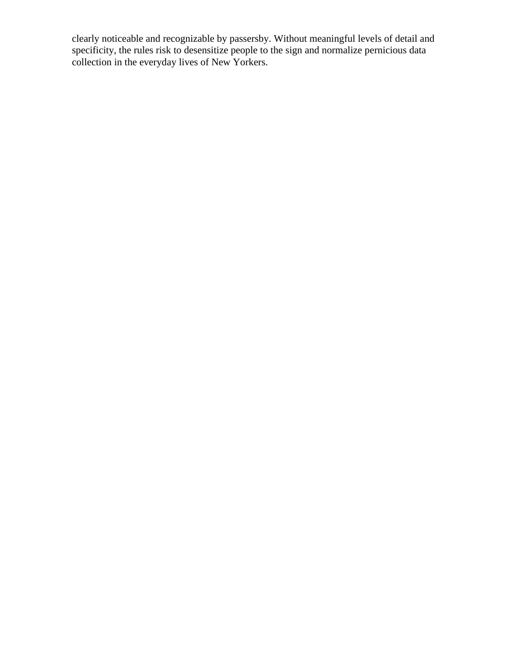clearly noticeable and recognizable by passersby. Without meaningful levels of detail and specificity, the rules risk to desensitize people to the sign and normalize pernicious data collection in the everyday lives of New Yorkers.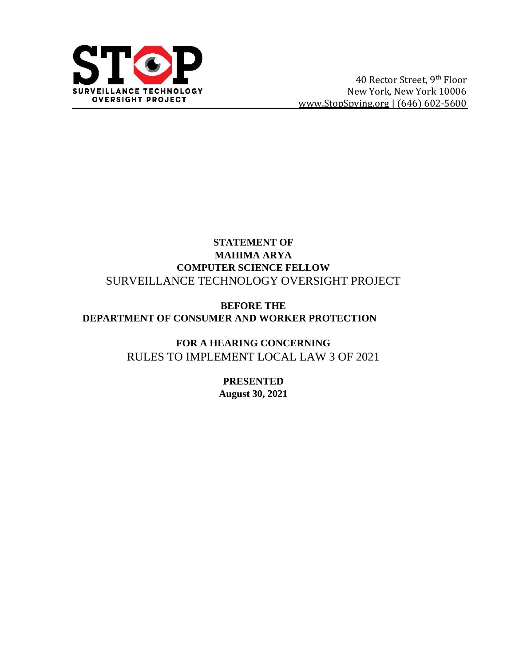

### **STATEMENT OF MAHIMA ARYA COMPUTER SCIENCE FELLOW** SURVEILLANCE TECHNOLOGY OVERSIGHT PROJECT

### **BEFORE THE DEPARTMENT OF CONSUMER AND WORKER PROTECTION**

**FOR A HEARING CONCERNING** RULES TO IMPLEMENT LOCAL LAW 3 OF 2021

> **PRESENTED August 30, 2021**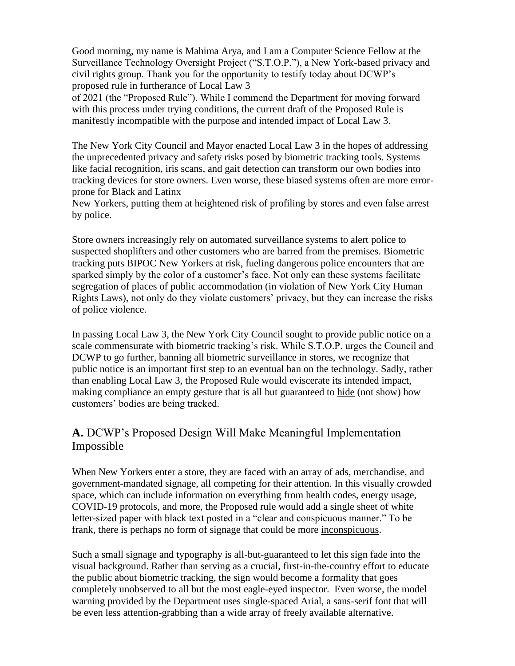Good morning, my name is Mahima Arya, and I am a Computer Science Fellow at the Surveillance Technology Oversight Project ("S.T.O.P."), a New York-based privacy and civil rights group. Thank you for the opportunity to testify today about DCWP's proposed rule in furtherance of Local Law 3

of 2021 (the "Proposed Rule"). While I commend the Department for moving forward with this process under trying conditions, the current draft of the Proposed Rule is manifestly incompatible with the purpose and intended impact of Local Law 3.

The New York City Council and Mayor enacted Local Law 3 in the hopes of addressing the unprecedented privacy and safety risks posed by biometric tracking tools. Systems like facial recognition, iris scans, and gait detection can transform our own bodies into tracking devices for store owners. Even worse, these biased systems often are more errorprone for Black and Latinx

New Yorkers, putting them at heightened risk of profiling by stores and even false arrest by police.

Store owners increasingly rely on automated surveillance systems to alert police to suspected shoplifters and other customers who are barred from the premises. Biometric tracking puts BIPOC New Yorkers at risk, fueling dangerous police encounters that are sparked simply by the color of a customer's face. Not only can these systems facilitate segregation of places of public accommodation (in violation of New York City Human Rights Laws), not only do they violate customers' privacy, but they can increase the risks of police violence.

In passing Local Law 3, the New York City Council sought to provide public notice on a scale commensurate with biometric tracking's risk. While S.T.O.P. urges the Council and DCWP to go further, banning all biometric surveillance in stores, we recognize that public notice is an important first step to an eventual ban on the technology. Sadly, rather than enabling Local Law 3, the Proposed Rule would eviscerate its intended impact, making compliance an empty gesture that is all but guaranteed to hide (not show) how customers' bodies are being tracked.

### **A.** DCWP's Proposed Design Will Make Meaningful Implementation Impossible

When New Yorkers enter a store, they are faced with an array of ads, merchandise, and government-mandated signage, all competing for their attention. In this visually crowded space, which can include information on everything from health codes, energy usage, COVID-19 protocols, and more, the Proposed rule would add a single sheet of white letter-sized paper with black text posted in a "clear and conspicuous manner." To be frank, there is perhaps no form of signage that could be more inconspicuous.

Such a small signage and typography is all-but-guaranteed to let this sign fade into the visual background. Rather than serving as a crucial, first-in-the-country effort to educate the public about biometric tracking, the sign would become a formality that goes completely unobserved to all but the most eagle-eyed inspector. Even worse, the model warning provided by the Department uses single-spaced Arial, a sans-serif font that will be even less attention-grabbing than a wide array of freely available alternative.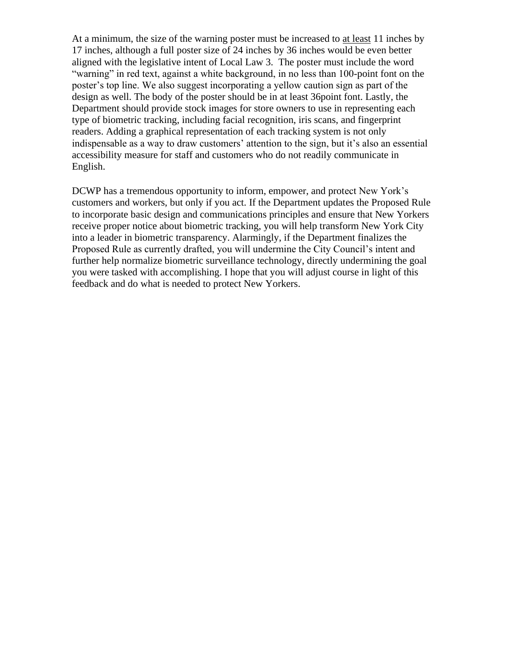At a minimum, the size of the warning poster must be increased to at least 11 inches by 17 inches, although a full poster size of 24 inches by 36 inches would be even better aligned with the legislative intent of Local Law 3. The poster must include the word "warning" in red text, against a white background, in no less than 100-point font on the poster's top line. We also suggest incorporating a yellow caution sign as part of the design as well. The body of the poster should be in at least 36point font. Lastly, the Department should provide stock images for store owners to use in representing each type of biometric tracking, including facial recognition, iris scans, and fingerprint readers. Adding a graphical representation of each tracking system is not only indispensable as a way to draw customers' attention to the sign, but it's also an essential accessibility measure for staff and customers who do not readily communicate in English.

DCWP has a tremendous opportunity to inform, empower, and protect New York's customers and workers, but only if you act. If the Department updates the Proposed Rule to incorporate basic design and communications principles and ensure that New Yorkers receive proper notice about biometric tracking, you will help transform New York City into a leader in biometric transparency. Alarmingly, if the Department finalizes the Proposed Rule as currently drafted, you will undermine the City Council's intent and further help normalize biometric surveillance technology, directly undermining the goal you were tasked with accomplishing. I hope that you will adjust course in light of this feedback and do what is needed to protect New Yorkers.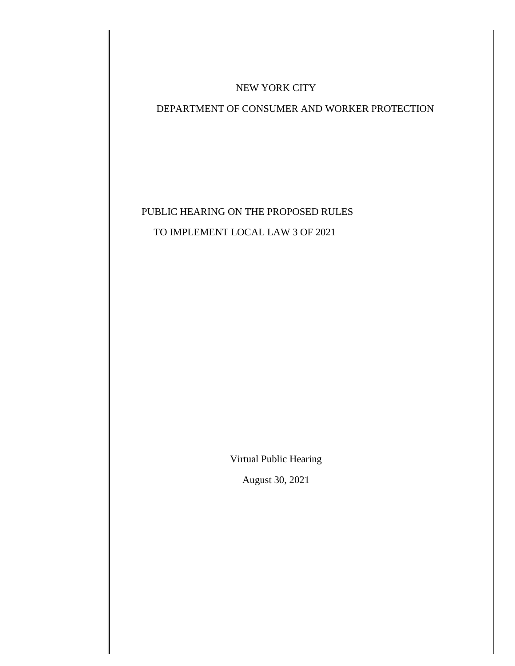#### NEW YORK CITY

#### DEPARTMENT OF CONSUMER AND WORKER PROTECTION

## PUBLIC HEARING ON THE PROPOSED RULES TO IMPLEMENT LOCAL LAW 3 OF 2021

Virtual Public Hearing

August 30, 2021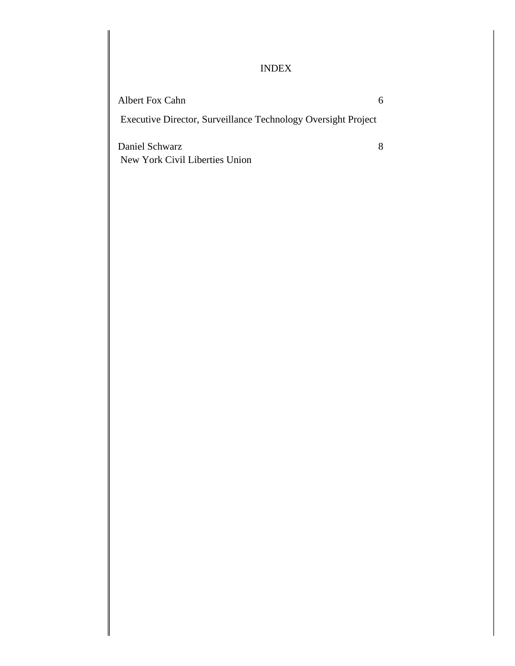#### INDEX

Albert Fox Cahn 6

Executive Director, Surveillance Technology Oversight Project

Daniel Schwarz 8 New York Civil Liberties Union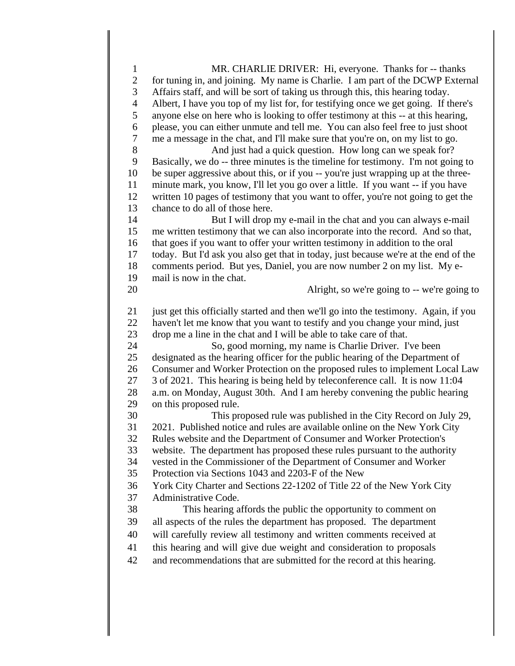MR. CHARLIE DRIVER: Hi, everyone. Thanks for -- thanks for tuning in, and joining. My name is Charlie. I am part of the DCWP External Affairs staff, and will be sort of taking us through this, this hearing today. Albert, I have you top of my list for, for testifying once we get going. If there's anyone else on here who is looking to offer testimony at this -- at this hearing, please, you can either unmute and tell me. You can also feel free to just shoot me a message in the chat, and I'll make sure that you're on, on my list to go. 8 And just had a quick question. How long can we speak for? Basically, we do -- three minutes is the timeline for testimony. I'm not going to be super aggressive about this, or if you -- you're just wrapping up at the three- minute mark, you know, I'll let you go over a little. If you want -- if you have written 10 pages of testimony that you want to offer, you're not going to get the chance to do all of those here. But I will drop my e-mail in the chat and you can always e-mail me written testimony that we can also incorporate into the record. And so that, that goes if you want to offer your written testimony in addition to the oral today. But I'd ask you also get that in today, just because we're at the end of the comments period. But yes, Daniel, you are now number 2 on my list. My e- mail is now in the chat. Alright, so we're going to -- we're going to just get this officially started and then we'll go into the testimony. Again, if you haven't let me know that you want to testify and you change your mind, just drop me a line in the chat and I will be able to take care of that. So, good morning, my name is Charlie Driver. I've been designated as the hearing officer for the public hearing of the Department of Consumer and Worker Protection on the proposed rules to implement Local Law 3 of 2021. This hearing is being held by teleconference call. It is now 11:04 a.m. on Monday, August 30th. And I am hereby convening the public hearing on this proposed rule. This proposed rule was published in the City Record on July 29, 2021. Published notice and rules are available online on the New York City Rules website and the Department of Consumer and Worker Protection's website. The department has proposed these rules pursuant to the authority vested in the Commissioner of the Department of Consumer and Worker Protection via Sections 1043 and 2203-F of the New York City Charter and Sections 22-1202 of Title 22 of the New York City Administrative Code. This hearing affords the public the opportunity to comment on all aspects of the rules the department has proposed. The department will carefully review all testimony and written comments received at this hearing and will give due weight and consideration to proposals and recommendations that are submitted for the record at this hearing.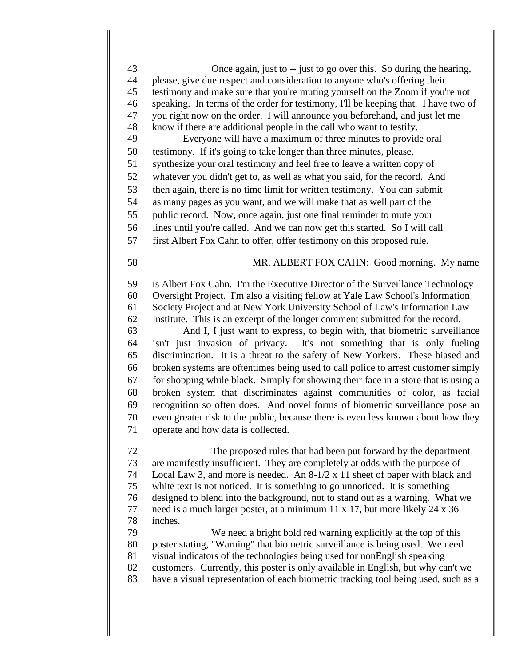Once again, just to -- just to go over this. So during the hearing, please, give due respect and consideration to anyone who's offering their testimony and make sure that you're muting yourself on the Zoom if you're not speaking. In terms of the order for testimony, I'll be keeping that. I have two of you right now on the order. I will announce you beforehand, and just let me know if there are additional people in the call who want to testify. Everyone will have a maximum of three minutes to provide oral testimony. If it's going to take longer than three minutes, please, synthesize your oral testimony and feel free to leave a written copy of whatever you didn't get to, as well as what you said, for the record. And then again, there is no time limit for written testimony. You can submit as many pages as you want, and we will make that as well part of the public record. Now, once again, just one final reminder to mute your lines until you're called. And we can now get this started. So I will call first Albert Fox Cahn to offer, offer testimony on this proposed rule. MR. ALBERT FOX CAHN: Good morning. My name is Albert Fox Cahn. I'm the Executive Director of the Surveillance Technology Oversight Project. I'm also a visiting fellow at Yale Law School's Information Society Project and at New York University School of Law's Information Law Institute. This is an excerpt of the longer comment submitted for the record. And I, I just want to express, to begin with, that biometric surveillance isn't just invasion of privacy. It's not something that is only fueling discrimination. It is a threat to the safety of New Yorkers. These biased and broken systems are oftentimes being used to call police to arrest customer simply for shopping while black. Simply for showing their face in a store that is using a broken system that discriminates against communities of color, as facial recognition so often does. And novel forms of biometric surveillance pose an even greater risk to the public, because there is even less known about how they operate and how data is collected. The proposed rules that had been put forward by the department

 are manifestly insufficient. They are completely at odds with the purpose of Local Law 3, and more is needed. An 8-1/2 x 11 sheet of paper with black and white text is not noticed. It is something to go unnoticed. It is something designed to blend into the background, not to stand out as a warning. What we need is a much larger poster, at a minimum 11 x 17, but more likely 24 x 36 inches. We need a bright bold red warning explicitly at the top of this

 poster stating, "Warning" that biometric surveillance is being used. We need visual indicators of the technologies being used for nonEnglish speaking customers. Currently, this poster is only available in English, but why can't we have a visual representation of each biometric tracking tool being used, such as a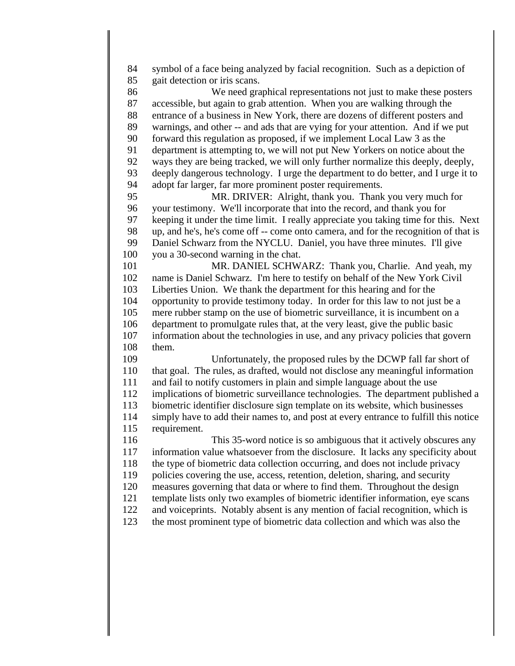symbol of a face being analyzed by facial recognition. Such as a depiction of gait detection or iris scans. We need graphical representations not just to make these posters accessible, but again to grab attention. When you are walking through the entrance of a business in New York, there are dozens of different posters and warnings, and other -- and ads that are vying for your attention. And if we put forward this regulation as proposed, if we implement Local Law 3 as the department is attempting to, we will not put New Yorkers on notice about the ways they are being tracked, we will only further normalize this deeply, deeply, deeply dangerous technology. I urge the department to do better, and I urge it to adopt far larger, far more prominent poster requirements. MR. DRIVER: Alright, thank you. Thank you very much for your testimony. We'll incorporate that into the record, and thank you for keeping it under the time limit. I really appreciate you taking time for this. Next up, and he's, he's come off -- come onto camera, and for the recognition of that is 99 Daniel Schwarz from the NYCLU. Daniel, you have three minutes. I'll give you a 30-second warning in the chat. MR. DANIEL SCHWARZ: Thank you, Charlie. And yeah, my name is Daniel Schwarz. I'm here to testify on behalf of the New York Civil Liberties Union. We thank the department for this hearing and for the opportunity to provide testimony today. In order for this law to not just be a mere rubber stamp on the use of biometric surveillance, it is incumbent on a department to promulgate rules that, at the very least, give the public basic information about the technologies in use, and any privacy policies that govern them. Unfortunately, the proposed rules by the DCWP fall far short of that goal. The rules, as drafted, would not disclose any meaningful information and fail to notify customers in plain and simple language about the use implications of biometric surveillance technologies. The department published a biometric identifier disclosure sign template on its website, which businesses simply have to add their names to, and post at every entrance to fulfill this notice requirement. This 35-word notice is so ambiguous that it actively obscures any information value whatsoever from the disclosure. It lacks any specificity about the type of biometric data collection occurring, and does not include privacy policies covering the use, access, retention, deletion, sharing, and security measures governing that data or where to find them. Throughout the design template lists only two examples of biometric identifier information, eye scans and voiceprints. Notably absent is any mention of facial recognition, which is the most prominent type of biometric data collection and which was also the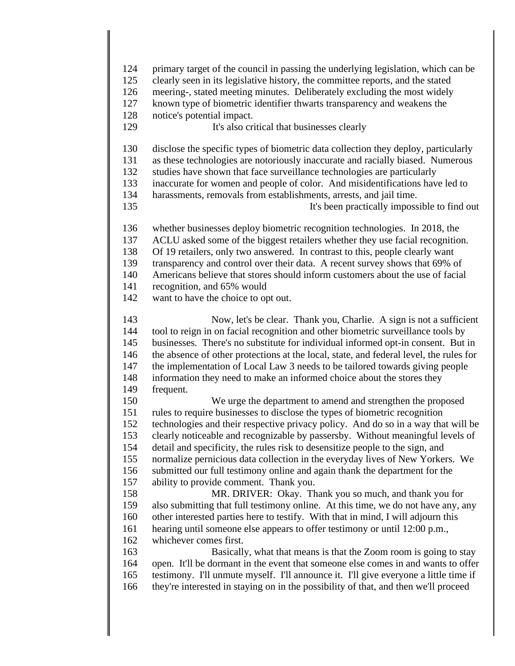primary target of the council in passing the underlying legislation, which can be clearly seen in its legislative history, the committee reports, and the stated meering-, stated meeting minutes. Deliberately excluding the most widely known type of biometric identifier thwarts transparency and weakens the notice's potential impact. It's also critical that businesses clearly disclose the specific types of biometric data collection they deploy, particularly as these technologies are notoriously inaccurate and racially biased. Numerous studies have shown that face surveillance technologies are particularly inaccurate for women and people of color. And misidentifications have led to harassments, removals from establishments, arrests, and jail time. It's been practically impossible to find out whether businesses deploy biometric recognition technologies. In 2018, the ACLU asked some of the biggest retailers whether they use facial recognition. Of 19 retailers, only two answered. In contrast to this, people clearly want transparency and control over their data. A recent survey shows that 69% of Americans believe that stores should inform customers about the use of facial recognition, and 65% would want to have the choice to opt out. Now, let's be clear. Thank you, Charlie. A sign is not a sufficient tool to reign in on facial recognition and other biometric surveillance tools by businesses. There's no substitute for individual informed opt-in consent. But in the absence of other protections at the local, state, and federal level, the rules for the implementation of Local Law 3 needs to be tailored towards giving people 148 information they need to make an informed choice about the stores they frequent. We urge the department to amend and strengthen the proposed rules to require businesses to disclose the types of biometric recognition technologies and their respective privacy policy. And do so in a way that will be clearly noticeable and recognizable by passersby. Without meaningful levels of detail and specificity, the rules risk to desensitize people to the sign, and normalize pernicious data collection in the everyday lives of New Yorkers. We submitted our full testimony online and again thank the department for the ability to provide comment. Thank you. MR. DRIVER: Okay. Thank you so much, and thank you for also submitting that full testimony online. At this time, we do not have any, any other interested parties here to testify. With that in mind, I will adjourn this hearing until someone else appears to offer testimony or until 12:00 p.m., whichever comes first. Basically, what that means is that the Zoom room is going to stay open. It'll be dormant in the event that someone else comes in and wants to offer testimony. I'll unmute myself. I'll announce it. I'll give everyone a little time if they're interested in staying on in the possibility of that, and then we'll proceed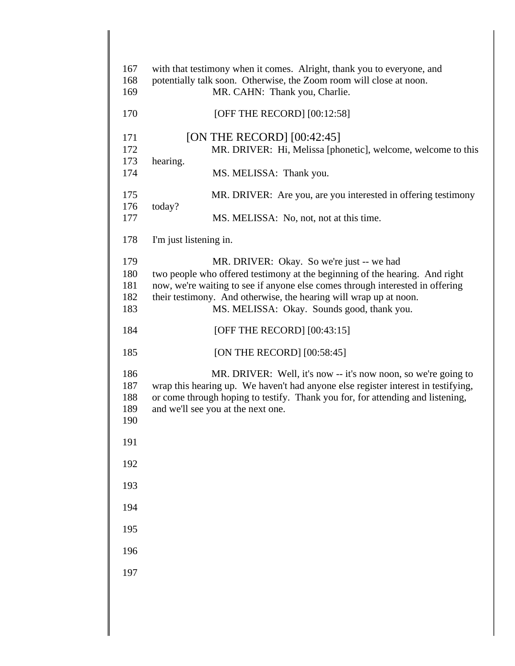| 167        | with that testimony when it comes. Alright, thank you to everyone, and                               |
|------------|------------------------------------------------------------------------------------------------------|
| 168<br>169 | potentially talk soon. Otherwise, the Zoom room will close at noon.<br>MR. CAHN: Thank you, Charlie. |
| 170        | [OFF THE RECORD] $[00:12:58]$                                                                        |
| 171        | [ON THE RECORD] $[00:42:45]$                                                                         |
| 172<br>173 | MR. DRIVER: Hi, Melissa [phonetic], welcome, welcome to this<br>hearing.                             |
| 174        | MS. MELISSA: Thank you.                                                                              |
| 175<br>176 | MR. DRIVER: Are you, are you interested in offering testimony<br>today?                              |
| 177        | MS. MELISSA: No, not, not at this time.                                                              |
| 178        | I'm just listening in.                                                                               |
| 179        | MR. DRIVER: Okay. So we're just -- we had                                                            |
| 180        | two people who offered testimony at the beginning of the hearing. And right                          |
| 181        | now, we're waiting to see if anyone else comes through interested in offering                        |
| 182        | their testimony. And otherwise, the hearing will wrap up at noon.                                    |
| 183        | MS. MELISSA: Okay. Sounds good, thank you.                                                           |
| 184        | [OFF THE RECORD] $[00:43:15]$                                                                        |
| 185        | [ON THE RECORD] $[00:58:45]$                                                                         |
| 186        | MR. DRIVER: Well, it's now -- it's now noon, so we're going to                                       |
| 187        | wrap this hearing up. We haven't had anyone else register interest in testifying,                    |
| 188        | or come through hoping to testify. Thank you for, for attending and listening,                       |
| 189        | and we'll see you at the next one.                                                                   |
| 190        |                                                                                                      |
| 191        |                                                                                                      |
| 192        |                                                                                                      |
| 193        |                                                                                                      |
| 194        |                                                                                                      |
| 195        |                                                                                                      |
| 196        |                                                                                                      |
| 197        |                                                                                                      |
|            |                                                                                                      |